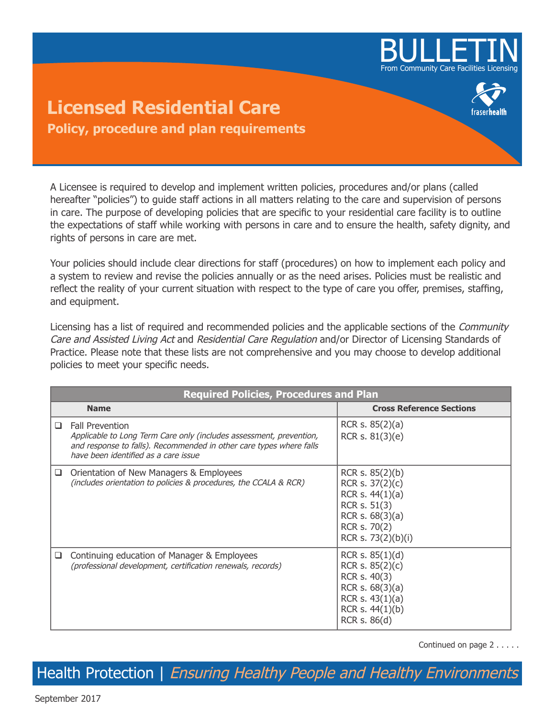

## **Licensed Residential Care Policy, procedure and plan requirements**

A Licensee is required to develop and implement written policies, procedures and/or plans (called hereafter "policies") to guide staff actions in all matters relating to the care and supervision of persons in care. The purpose of developing policies that are specific to your residential care facility is to outline the expectations of staff while working with persons in care and to ensure the health, safety dignity, and rights of persons in care are met.

Your policies should include clear directions for staff (procedures) on how to implement each policy and a system to review and revise the policies annually or as the need arises. Policies must be realistic and reflect the reality of your current situation with respect to the type of care you offer, premises, staffing, and equipment.

Licensing has a list of required and recommended policies and the applicable sections of the *Community* Care and Assisted Living Act and Residential Care Regulation and/or Director of Licensing Standards of Practice. Please note that these lists are not comprehensive and you may choose to develop additional policies to meet your specific needs.

|        | <b>Required Policies, Procedures and Plan</b>                                                                                                                                                                |                                                                                                                                       |  |  |
|--------|--------------------------------------------------------------------------------------------------------------------------------------------------------------------------------------------------------------|---------------------------------------------------------------------------------------------------------------------------------------|--|--|
|        | <b>Name</b>                                                                                                                                                                                                  | <b>Cross Reference Sections</b>                                                                                                       |  |  |
| □      | <b>Fall Prevention</b><br>Applicable to Long Term Care only (includes assessment, prevention,<br>and response to falls). Recommended in other care types where falls<br>have been identified as a care issue | RCR s. $85(2)(a)$<br>RCR s. 81(3)(e)                                                                                                  |  |  |
| ❏      | Orientation of New Managers & Employees<br>(includes orientation to policies & procedures, the CCALA & RCR)                                                                                                  | RCR s. 85(2)(b)<br>RCR s. $37(2)(c)$<br>RCR s. $44(1)(a)$<br>RCR s. 51(3)<br>RCR s. $68(3)(a)$<br>RCR s. 70(2)<br>RCR s. 73(2)(b)(i)  |  |  |
| $\Box$ | Continuing education of Manager & Employees<br>(professional development, certification renewals, records)                                                                                                   | RCR s. $85(1)(d)$<br>RCR s. $85(2)(c)$<br>RCR s. 40(3)<br>RCR s. $68(3)(a)$<br>RCR s. $43(1)(a)$<br>RCR s. $44(1)(b)$<br>RCR s. 86(d) |  |  |

Continued on page 2 . . . . .

Health Protection | Ensuring Healthy People and Healthy Environments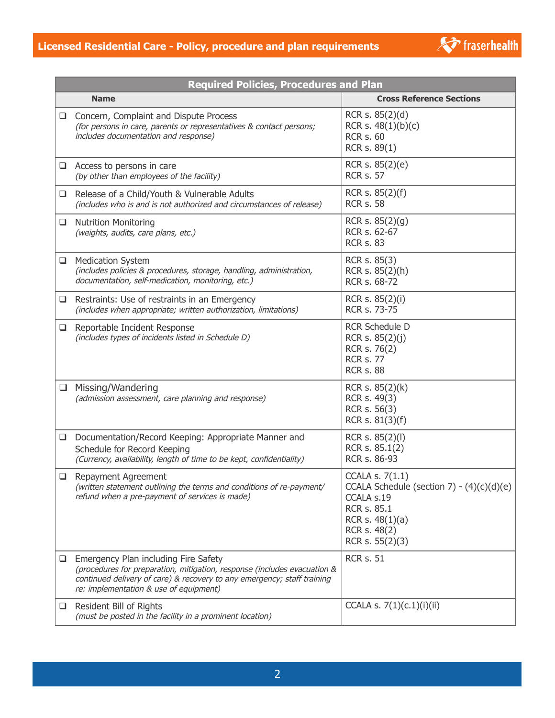

| <b>Required Policies, Procedures and Plan</b> |                                                                                                                                                                                                                                       |                                                                                                                                                     |  |  |
|-----------------------------------------------|---------------------------------------------------------------------------------------------------------------------------------------------------------------------------------------------------------------------------------------|-----------------------------------------------------------------------------------------------------------------------------------------------------|--|--|
|                                               | <b>Name</b>                                                                                                                                                                                                                           | <b>Cross Reference Sections</b>                                                                                                                     |  |  |
|                                               | □ Concern, Complaint and Dispute Process<br>(for persons in care, parents or representatives & contact persons;<br>includes documentation and response)                                                                               | RCR s. 85(2)(d)<br>RCR s. $48(1)(b)(c)$<br><b>RCR s. 60</b><br>RCR s. 89(1)                                                                         |  |  |
|                                               | $\Box$ Access to persons in care<br>(by other than employees of the facility)                                                                                                                                                         | RCR s. 85(2)(e)<br><b>RCR s. 57</b>                                                                                                                 |  |  |
| ⊔                                             | Release of a Child/Youth & Vulnerable Adults<br>(includes who is and is not authorized and circumstances of release)                                                                                                                  | RCR s. $85(2)(f)$<br><b>RCR s. 58</b>                                                                                                               |  |  |
|                                               | □ Nutrition Monitoring<br>(weights, audits, care plans, etc.)                                                                                                                                                                         | RCR s. 85(2)(g)<br>RCR s. 62-67<br><b>RCR s. 83</b>                                                                                                 |  |  |
| ⊔                                             | <b>Medication System</b><br>(includes policies & procedures, storage, handling, administration,<br>documentation, self-medication, monitoring, etc.)                                                                                  | RCR s. 85(3)<br>RCR s. 85(2)(h)<br>RCR s. 68-72                                                                                                     |  |  |
| u.                                            | Restraints: Use of restraints in an Emergency<br>(includes when appropriate; written authorization, limitations)                                                                                                                      | RCR s. 85(2)(i)<br>RCR s. 73-75                                                                                                                     |  |  |
|                                               | Reportable Incident Response<br>(includes types of incidents listed in Schedule D)                                                                                                                                                    | <b>RCR Schedule D</b><br>RCR s. 85(2)(j)<br>RCR s. 76(2)<br><b>RCR s. 77</b><br><b>RCR s. 88</b>                                                    |  |  |
| $\Box$                                        | Missing/Wandering<br>(admission assessment, care planning and response)                                                                                                                                                               | RCR s. 85(2)(k)<br>RCR s. 49(3)<br>RCR s. 56(3)<br>RCR s. 81(3)(f)                                                                                  |  |  |
| ❏                                             | Documentation/Record Keeping: Appropriate Manner and<br>Schedule for Record Keeping<br>(Currency, availability, length of time to be kept, confidentiality)                                                                           | RCR s. 85(2)(l)<br>RCR s. 85.1(2)<br>RCR s. 86-93                                                                                                   |  |  |
| ❏                                             | Repayment Agreement<br>(written statement outlining the terms and conditions of re-payment/<br>refund when a pre-payment of services is made)                                                                                         | CCALA s. 7(1.1)<br>CCALA Schedule (section $7) - (4)(c)(d)(e)$<br>CCALA s.19<br>RCR s. 85.1<br>RCR s. $48(1)(a)$<br>RCR s. 48(2)<br>RCR s. 55(2)(3) |  |  |
| u.                                            | Emergency Plan including Fire Safety<br>(procedures for preparation, mitigation, response (includes evacuation &<br>continued delivery of care) & recovery to any emergency; staff training<br>re: implementation & use of equipment) | <b>RCR s. 51</b>                                                                                                                                    |  |  |
|                                               | Resident Bill of Rights<br>(must be posted in the facility in a prominent location)                                                                                                                                                   | CCALA s. 7(1)(c.1)(i)(ii)                                                                                                                           |  |  |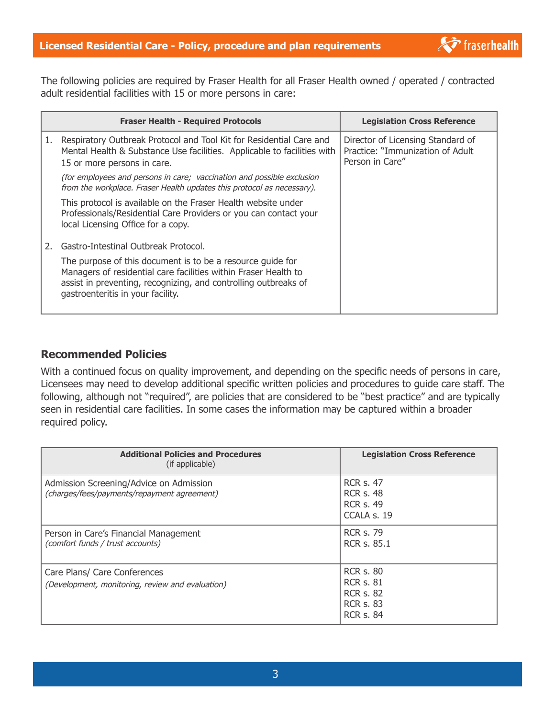**T** fraserhealth

The following policies are required by Fraser Health for all Fraser Health owned / operated / contracted adult residential facilities with 15 or more persons in care:

|    | <b>Fraser Health - Required Protocols</b>                                                                                                                                                                                             | <b>Legislation Cross Reference</b>                                                       |
|----|---------------------------------------------------------------------------------------------------------------------------------------------------------------------------------------------------------------------------------------|------------------------------------------------------------------------------------------|
| 1. | Respiratory Outbreak Protocol and Tool Kit for Residential Care and<br>Mental Health & Substance Use facilities. Applicable to facilities with<br>15 or more persons in care.                                                         | Director of Licensing Standard of<br>Practice: "Immunization of Adult<br>Person in Care" |
|    | (for employees and persons in care; vaccination and possible exclusion<br>from the workplace. Fraser Health updates this protocol as necessary).                                                                                      |                                                                                          |
|    | This protocol is available on the Fraser Health website under<br>Professionals/Residential Care Providers or you can contact your<br>local Licensing Office for a copy.                                                               |                                                                                          |
|    | Gastro-Intestinal Outbreak Protocol.                                                                                                                                                                                                  |                                                                                          |
|    | The purpose of this document is to be a resource guide for<br>Managers of residential care facilities within Fraser Health to<br>assist in preventing, recognizing, and controlling outbreaks of<br>gastroenteritis in your facility. |                                                                                          |

## **Recommended Policies**

With a continued focus on quality improvement, and depending on the specific needs of persons in care, Licensees may need to develop additional specific written policies and procedures to guide care staff. The following, although not "required", are policies that are considered to be "best practice" and are typically seen in residential care facilities. In some cases the information may be captured within a broader required policy.

| <b>Additional Policies and Procedures</b><br>(if applicable)                           | <b>Legislation Cross Reference</b>                                                               |
|----------------------------------------------------------------------------------------|--------------------------------------------------------------------------------------------------|
| Admission Screening/Advice on Admission<br>(charges/fees/payments/repayment agreement) | <b>RCR s. 47</b><br><b>RCR s. 48</b><br><b>RCR s. 49</b><br>CCALA s. 19                          |
| Person in Care's Financial Management<br>(comfort funds / trust accounts)              | <b>RCR s. 79</b><br><b>RCR s. 85.1</b>                                                           |
| Care Plans/ Care Conferences<br>(Development, monitoring, review and evaluation)       | <b>RCR s. 80</b><br><b>RCR s. 81</b><br><b>RCR s. 82</b><br><b>RCR s. 83</b><br><b>RCR s. 84</b> |